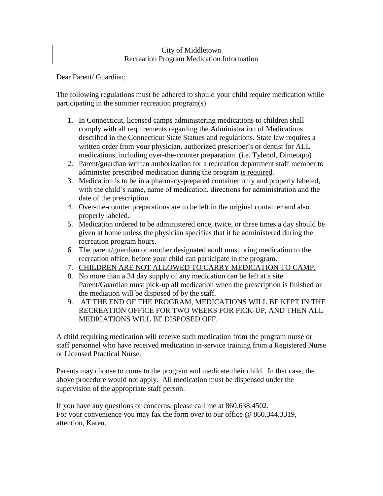## City of Middletown Recreation Program Medication Information

Dear Parent/ Guardian;

The following regulations must be adhered to should your child require medication while participating in the summer recreation program(s).

- 1. In Connecticut, licensed camps administering medications to children shall comply with all requirements regarding the Administration of Medications described in the Connecticut State Statues and regulations. State law requires a written order from your physician, authorized prescriber's or dentist for ALL medications, including over-the-counter preparation. (i.e. Tylenol, Dimetapp)
- 2. Parent/guardian written authorization for a recreation department staff member to administer prescribed medication during the program is required.
- 3. Medication is to be in a pharmacy-prepared container only and properly labeled, with the child's name, name of medication, directions for administration and the date of the prescription.
- 4. Over-the-counter preparations are to be left in the original container and also properly labeled.
- 5. Medication ordered to be administered once, twice, or three times a day should be given at home unless the physician specifies that it be administered during the recreation program hours.
- 6. The parent/guardian or another designated adult must bring medication to the recreation office, before your child can participate in the program.
- 7. CHILDREN ARE NOT ALLOWED TO CARRY MEDICATION TO CAMP.
- 8. No more than a 34 day supply of any medication can be left at a site. Parent/Guardian must pick-up all medication when the prescription is finished or the mediation will be disposed of by the staff.
- 9. AT THE END OF THE PROGRAM, MEDICATIONS WILL BE KEPT IN THE RECREATION OFFICE FOR TWO WEEKS FOR PICK-UP, AND THEN ALL MEDICATIONS WILL BE DISPOSED OFF.

A child requiring medication will receive such medication from the program nurse or staff personnel who have received medication in-service training from a Registered Nurse or Licensed Practical Nurse.

Parents may choose to come to the program and medicate their child. In that case, the above procedure would not apply. All medication must be dispensed under the supervision of the appropriate staff person.

If you have any questions or concerns, please call me at 860.638.4502. For your convenience you may fax the form over to our office @ 860.344.3319, attention, Karen.